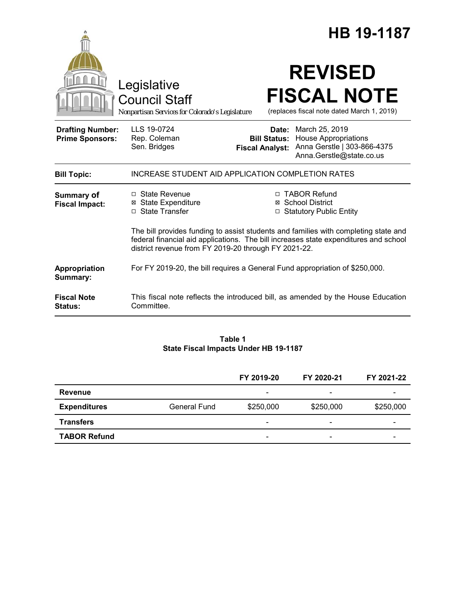|                                                   |                                                                                                                                                                                                                                     | HB 19-1187                                                                                                                                            |  |
|---------------------------------------------------|-------------------------------------------------------------------------------------------------------------------------------------------------------------------------------------------------------------------------------------|-------------------------------------------------------------------------------------------------------------------------------------------------------|--|
|                                                   | Legislative<br><b>Council Staff</b><br>Nonpartisan Services for Colorado's Legislature                                                                                                                                              | <b>REVISED</b><br><b>FISCAL NOTE</b><br>(replaces fiscal note dated March 1, 2019)                                                                    |  |
| <b>Drafting Number:</b><br><b>Prime Sponsors:</b> | LLS 19-0724<br>Rep. Coleman<br>Sen. Bridges                                                                                                                                                                                         | Date: March 25, 2019<br><b>Bill Status:</b> House Appropriations<br>Anna Gerstle   303-866-4375<br><b>Fiscal Analyst:</b><br>Anna.Gerstle@state.co.us |  |
| <b>Bill Topic:</b>                                | INCREASE STUDENT AID APPLICATION COMPLETION RATES                                                                                                                                                                                   |                                                                                                                                                       |  |
| <b>Summary of</b><br><b>Fiscal Impact:</b>        | □ State Revenue<br><b>⊠ State Expenditure</b><br>□ State Transfer                                                                                                                                                                   | □ TABOR Refund<br>⊠ School District<br>□ Statutory Public Entity                                                                                      |  |
|                                                   | The bill provides funding to assist students and families with completing state and<br>federal financial aid applications. The bill increases state expenditures and school<br>district revenue from FY 2019-20 through FY 2021-22. |                                                                                                                                                       |  |
| Appropriation<br>Summary:                         | For FY 2019-20, the bill requires a General Fund appropriation of \$250,000.                                                                                                                                                        |                                                                                                                                                       |  |
| <b>Fiscal Note</b><br>Status:                     | Committee.                                                                                                                                                                                                                          | This fiscal note reflects the introduced bill, as amended by the House Education                                                                      |  |

#### **Table 1 State Fiscal Impacts Under HB 19-1187**

|                     |                     | FY 2019-20                   | FY 2020-21               | FY 2021-22 |
|---------------------|---------------------|------------------------------|--------------------------|------------|
| Revenue             |                     | -                            | $\overline{\phantom{0}}$ |            |
| <b>Expenditures</b> | <b>General Fund</b> | \$250,000                    | \$250,000                | \$250,000  |
| <b>Transfers</b>    |                     | $\qquad \qquad \blacksquare$ | $\overline{\phantom{0}}$ | -          |
| <b>TABOR Refund</b> |                     | $\overline{\phantom{a}}$     | $\overline{\phantom{0}}$ | -          |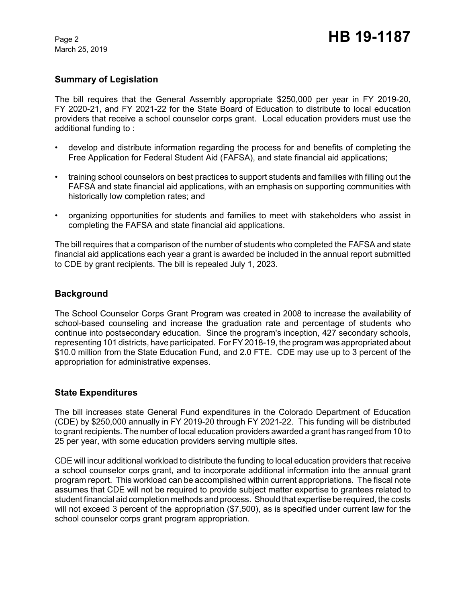March 25, 2019

# **Summary of Legislation**

The bill requires that the General Assembly appropriate \$250,000 per year in FY 2019-20, FY 2020-21, and FY 2021-22 for the State Board of Education to distribute to local education providers that receive a school counselor corps grant. Local education providers must use the additional funding to :

- develop and distribute information regarding the process for and benefits of completing the Free Application for Federal Student Aid (FAFSA), and state financial aid applications;
- training school counselors on best practices to support students and families with filling out the FAFSA and state financial aid applications, with an emphasis on supporting communities with historically low completion rates; and
- organizing opportunities for students and families to meet with stakeholders who assist in completing the FAFSA and state financial aid applications.

The bill requires that a comparison of the number of students who completed the FAFSA and state financial aid applications each year a grant is awarded be included in the annual report submitted to CDE by grant recipients. The bill is repealed July 1, 2023.

## **Background**

The School Counselor Corps Grant Program was created in 2008 to increase the availability of school-based counseling and increase the graduation rate and percentage of students who continue into postsecondary education. Since the program's inception, 427 secondary schools, representing 101 districts, have participated. For FY 2018-19, the program was appropriated about \$10.0 million from the State Education Fund, and 2.0 FTE. CDE may use up to 3 percent of the appropriation for administrative expenses.

### **State Expenditures**

The bill increases state General Fund expenditures in the Colorado Department of Education (CDE) by \$250,000 annually in FY 2019-20 through FY 2021-22. This funding will be distributed to grant recipients. The number of local education providers awarded a grant has ranged from 10 to 25 per year, with some education providers serving multiple sites.

CDE will incur additional workload to distribute the funding to local education providers that receive a school counselor corps grant, and to incorporate additional information into the annual grant program report. This workload can be accomplished within current appropriations. The fiscal note assumes that CDE will not be required to provide subject matter expertise to grantees related to student financial aid completion methods and process. Should that expertise be required, the costs will not exceed 3 percent of the appropriation (\$7,500), as is specified under current law for the school counselor corps grant program appropriation.